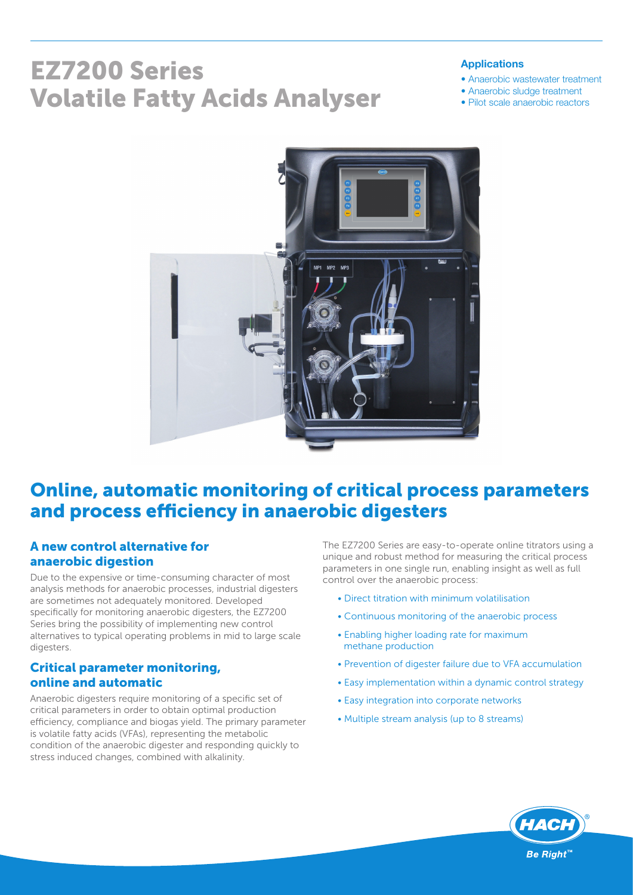# EZ7200 Series Volatile Fatty Acids Analyser

#### Applications

- Anaerobic wastewater treatment
- Anaerobic sludge treatment
- Pilot scale anaerobic reactors



# Online, automatic monitoring of critical process parameters and process efficiency in anaerobic digesters

#### A new control alternative for anaerobic digestion

Due to the expensive or time-consuming character of most analysis methods for anaerobic processes, industrial digesters are sometimes not adequately monitored. Developed specifically for monitoring anaerobic digesters, the EZ7200 Series bring the possibility of implementing new control alternatives to typical operating problems in mid to large scale digesters.

#### Critical parameter monitoring, online and automatic

Anaerobic digesters require monitoring of a specific set of critical parameters in order to obtain optimal production efficiency, compliance and biogas yield. The primary parameter is volatile fatty acids (VFAs), representing the metabolic condition of the anaerobic digester and responding quickly to stress induced changes, combined with alkalinity.

The EZ7200 Series are easy-to-operate online titrators using a unique and robust method for measuring the critical process parameters in one single run, enabling insight as well as full control over the anaerobic process:

- Direct titration with minimum volatilisation
- Continuous monitoring of the anaerobic process
- Enabling higher loading rate for maximum methane production
- Prevention of digester failure due to VFA accumulation
- Easy implementation within a dynamic control strategy
- Easy integration into corporate networks
- Multiple stream analysis (up to 8 streams)

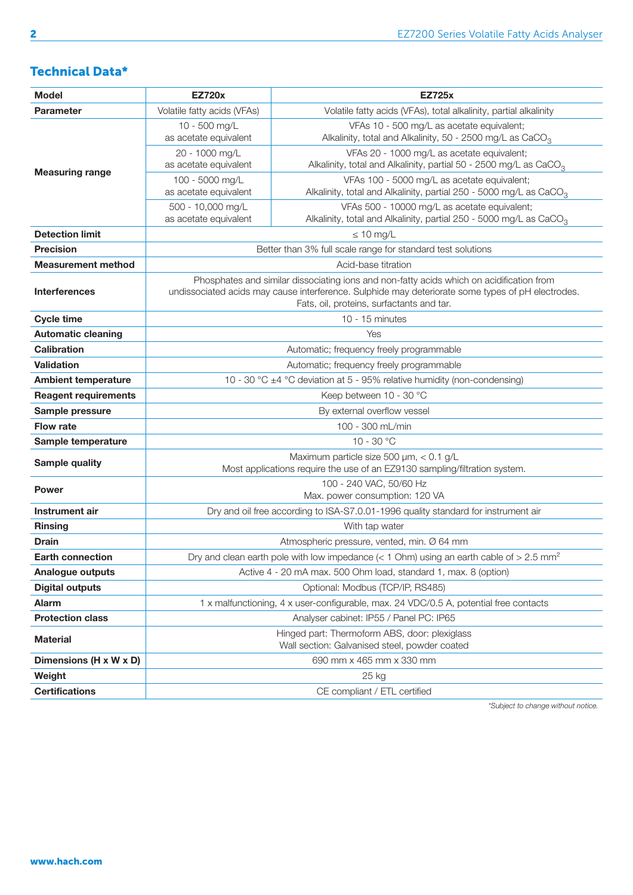### Technical Data\*

| <b>Model</b>                | <b>EZ720x</b>                                                                                                                                                                                                                              | <b>EZ725x</b>                                                                                                                  |  |  |  |  |
|-----------------------------|--------------------------------------------------------------------------------------------------------------------------------------------------------------------------------------------------------------------------------------------|--------------------------------------------------------------------------------------------------------------------------------|--|--|--|--|
| <b>Parameter</b>            | Volatile fatty acids (VFAs)                                                                                                                                                                                                                | Volatile fatty acids (VFAs), total alkalinity, partial alkalinity                                                              |  |  |  |  |
| <b>Measuring range</b>      | 10 - 500 mg/L<br>as acetate equivalent                                                                                                                                                                                                     | VFAs 10 - 500 mg/L as acetate equivalent;<br>Alkalinity, total and Alkalinity, 50 - 2500 mg/L as CaCO <sub>3</sub>             |  |  |  |  |
|                             | 20 - 1000 mg/L<br>as acetate equivalent                                                                                                                                                                                                    | VFAs 20 - 1000 mg/L as acetate equivalent;<br>Alkalinity, total and Alkalinity, partial 50 - 2500 mg/L as CaCO <sub>3</sub>    |  |  |  |  |
|                             | 100 - 5000 mg/L<br>as acetate equivalent                                                                                                                                                                                                   | VFAs 100 - 5000 mg/L as acetate equivalent;<br>Alkalinity, total and Alkalinity, partial 250 - 5000 mg/L as CaCO <sub>3</sub>  |  |  |  |  |
|                             | 500 - 10,000 mg/L<br>as acetate equivalent                                                                                                                                                                                                 | VFAs 500 - 10000 mg/L as acetate equivalent;<br>Alkalinity, total and Alkalinity, partial 250 - 5000 mg/L as CaCO <sub>3</sub> |  |  |  |  |
| <b>Detection limit</b>      | $\leq 10$ mg/L                                                                                                                                                                                                                             |                                                                                                                                |  |  |  |  |
| <b>Precision</b>            | Better than 3% full scale range for standard test solutions                                                                                                                                                                                |                                                                                                                                |  |  |  |  |
| <b>Measurement method</b>   | Acid-base titration                                                                                                                                                                                                                        |                                                                                                                                |  |  |  |  |
| <b>Interferences</b>        | Phosphates and similar dissociating ions and non-fatty acids which on acidification from<br>undissociated acids may cause interference. Sulphide may deteriorate some types of pH electrodes.<br>Fats, oil, proteins, surfactants and tar. |                                                                                                                                |  |  |  |  |
| <b>Cycle time</b>           | $10 - 15$ minutes                                                                                                                                                                                                                          |                                                                                                                                |  |  |  |  |
| <b>Automatic cleaning</b>   | Yes                                                                                                                                                                                                                                        |                                                                                                                                |  |  |  |  |
| <b>Calibration</b>          | Automatic; frequency freely programmable                                                                                                                                                                                                   |                                                                                                                                |  |  |  |  |
| <b>Validation</b>           | Automatic; frequency freely programmable                                                                                                                                                                                                   |                                                                                                                                |  |  |  |  |
| <b>Ambient temperature</b>  | 10 - 30 °C $\pm$ 4 °C deviation at 5 - 95% relative humidity (non-condensing)                                                                                                                                                              |                                                                                                                                |  |  |  |  |
| <b>Reagent requirements</b> | Keep between 10 - 30 °C                                                                                                                                                                                                                    |                                                                                                                                |  |  |  |  |
| Sample pressure             | By external overflow vessel                                                                                                                                                                                                                |                                                                                                                                |  |  |  |  |
| <b>Flow rate</b>            | 100 - 300 mL/min                                                                                                                                                                                                                           |                                                                                                                                |  |  |  |  |
| Sample temperature          | $10 - 30 °C$                                                                                                                                                                                                                               |                                                                                                                                |  |  |  |  |
| <b>Sample quality</b>       | Maximum particle size 500 µm, < 0.1 g/L<br>Most applications require the use of an EZ9130 sampling/filtration system.                                                                                                                      |                                                                                                                                |  |  |  |  |
| <b>Power</b>                | 100 - 240 VAC, 50/60 Hz<br>Max. power consumption: 120 VA                                                                                                                                                                                  |                                                                                                                                |  |  |  |  |
| Instrument air              | Dry and oil free according to ISA-S7.0.01-1996 quality standard for instrument air                                                                                                                                                         |                                                                                                                                |  |  |  |  |
| <b>Rinsing</b>              | With tap water                                                                                                                                                                                                                             |                                                                                                                                |  |  |  |  |
| <b>Drain</b>                | Atmospheric pressure, vented, min. Ø 64 mm                                                                                                                                                                                                 |                                                                                                                                |  |  |  |  |
| <b>Earth connection</b>     | Dry and clean earth pole with low impedance ( $<$ 1 Ohm) using an earth cable of $>$ 2.5 mm <sup>2</sup>                                                                                                                                   |                                                                                                                                |  |  |  |  |
| <b>Analogue outputs</b>     | Active 4 - 20 mA max. 500 Ohm load, standard 1, max. 8 (option)                                                                                                                                                                            |                                                                                                                                |  |  |  |  |
| <b>Digital outputs</b>      | Optional: Modbus (TCP/IP, RS485)                                                                                                                                                                                                           |                                                                                                                                |  |  |  |  |
| <b>Alarm</b>                | 1 x malfunctioning, 4 x user-configurable, max. 24 VDC/0.5 A, potential free contacts                                                                                                                                                      |                                                                                                                                |  |  |  |  |
| <b>Protection class</b>     |                                                                                                                                                                                                                                            | Analyser cabinet: IP55 / Panel PC: IP65                                                                                        |  |  |  |  |
| <b>Material</b>             | Hinged part: Thermoform ABS, door: plexiglass<br>Wall section: Galvanised steel, powder coated                                                                                                                                             |                                                                                                                                |  |  |  |  |
| Dimensions (H x W x D)      |                                                                                                                                                                                                                                            | 690 mm x 465 mm x 330 mm                                                                                                       |  |  |  |  |
| Weight                      |                                                                                                                                                                                                                                            | 25 kg                                                                                                                          |  |  |  |  |
| <b>Certifications</b>       |                                                                                                                                                                                                                                            | CE compliant / ETL certified                                                                                                   |  |  |  |  |

*\*Subject to change without notice.*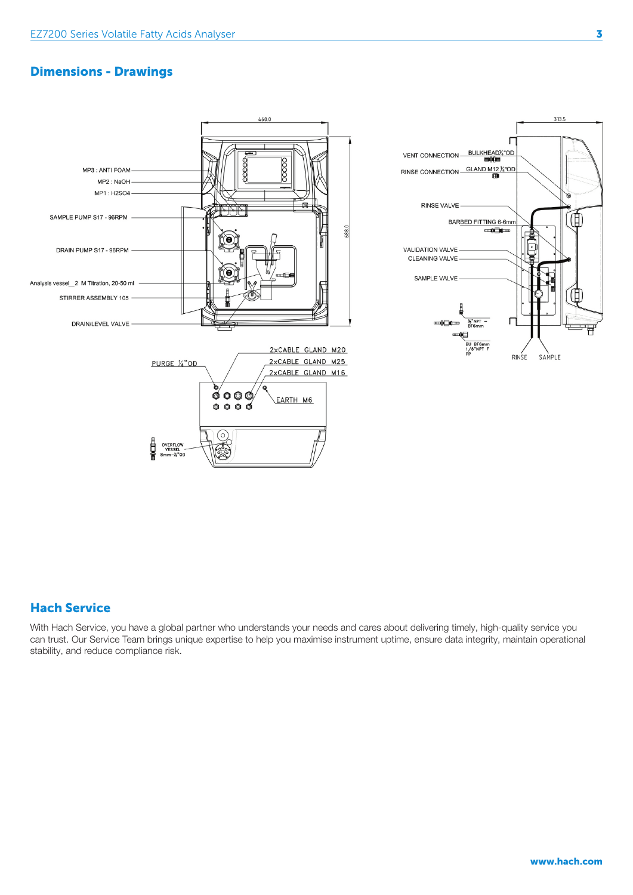### Dimensions - Drawings





#### Hach Service

With Hach Service, you have a global partner who understands your needs and cares about delivering timely, high-quality service you can trust. Our Service Team brings unique expertise to help you maximise instrument uptime, ensure data integrity, maintain operational stability, and reduce compliance risk.